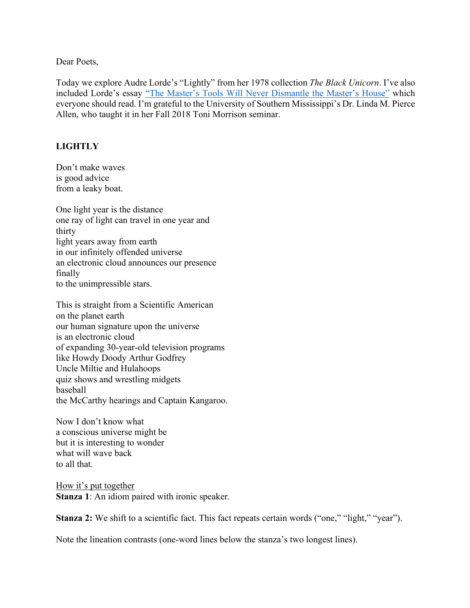Dear Poets,

Today we explore Audre Lorde's "Lightly" from her 1978 collection *The Black Unicorn*. I've also included Lorde's essay "The Master's Tools Will Never Dismantle the Master's House" which everyone should read. I'm grateful to the University of Southern Mississippi's Dr. Linda M. Pierce Allen, who taught it in her Fall 2018 Toni Morrison seminar.

## **LIGHTLY**

Don't make waves is good advice from a leaky boat.

One light year is the distance one ray of light can travel in one year and thirty light years away from earth in our infinitely offended universe an electronic cloud announces our presence finally to the unimpressible stars.

This is straight from a Scientific American on the planet earth our human signature upon the universe is an electronic cloud of expanding 30-year-old television programs like Howdy Doody Arthur Godfrey Uncle Miltie and Hulahoops quiz shows and wrestling midgets baseball the McCarthy hearings and Captain Kangaroo.

Now I don't know what a conscious universe might be but it is interesting to wonder what will wave back to all that.

How it's put together **Stanza 1**: An idiom paired with ironic speaker.

**Stanza 2:** We shift to a scientific fact. This fact repeats certain words ("one," "light," "year").

Note the lineation contrasts (one-word lines below the stanza's two longest lines).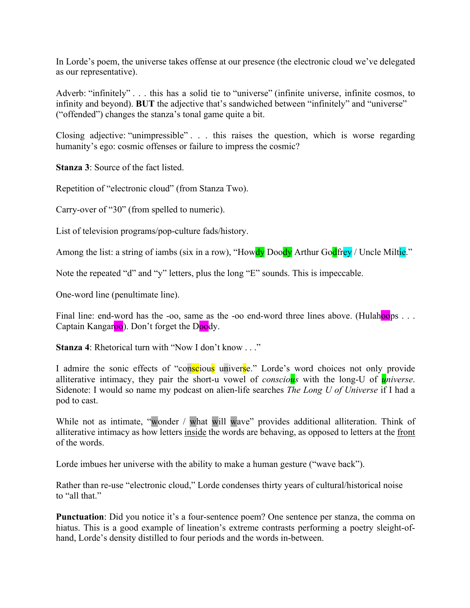In Lorde's poem, the universe takes offense at our presence (the electronic cloud we've delegated as our representative).

Adverb: "infinitely" . . . this has a solid tie to "universe" (infinite universe, infinite cosmos, to infinity and beyond). **BUT** the adjective that's sandwiched between "infinitely" and "universe" ("offended") changes the stanza's tonal game quite a bit.

Closing adjective: "unimpressible" . . . this raises the question, which is worse regarding humanity's ego: cosmic offenses or failure to impress the cosmic?

**Stanza 3**: Source of the fact listed.

Repetition of "electronic cloud" (from Stanza Two).

Carry-over of "30" (from spelled to numeric).

List of television programs/pop-culture fads/history.

Among the list: a string of iambs (six in a row), "Howdy Doody Arthur Godfrey / Uncle Miltie."

Note the repeated "d" and "y" letters, plus the long "E" sounds. This is impeccable.

One-word line (penultimate line).

Final line: end-word has the -oo, same as the -oo end-word three lines above. (Hulahoops . . . Captain Kangaroo). Don't forget the Doody.

**Stanza 4**: Rhetorical turn with "Now I don't know . . ."

I admire the sonic effects of "conscious universe." Lorde's word choices not only provide alliterative intimacy, they pair the short-u vowel of *conscious* with the long-U of *universe*. Sidenote: I would so name my podcast on alien-life searches *The Long U of Universe* if I had a pod to cast.

While not as intimate, "wonder / what will wave" provides additional alliteration. Think of alliterative intimacy as how letters inside the words are behaving, as opposed to letters at the front of the words.

Lorde imbues her universe with the ability to make a human gesture ("wave back").

Rather than re-use "electronic cloud," Lorde condenses thirty years of cultural/historical noise to "all that."

**Punctuation**: Did you notice it's a four-sentence poem? One sentence per stanza, the comma on hiatus. This is a good example of lineation's extreme contrasts performing a poetry sleight-ofhand, Lorde's density distilled to four periods and the words in-between.